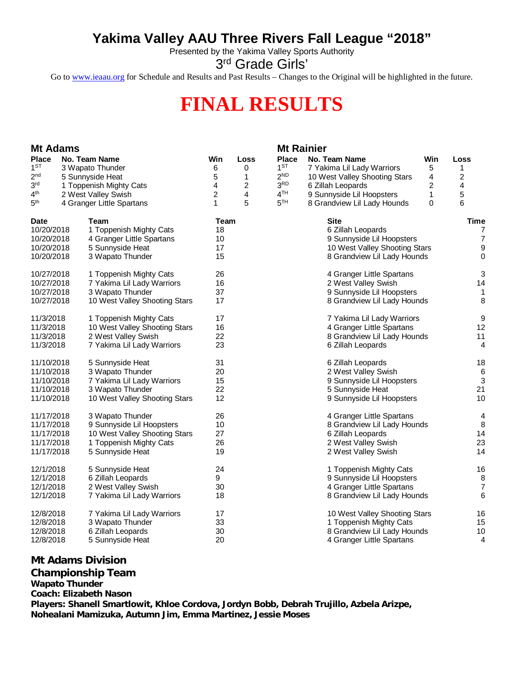## **Yakima Valley AAU Three Rivers Fall League "2018"**

Presented by the Yakima Valley Sports Authority

3<sup>rd</sup> Grade Girls'

Go to [www.ieaau.org](http://www.ieaau.org) for Schedule and Results and Past Results – Changes to the Original will be highlighted in the future.

## **FINAL RESULTS**

| <b>Mt Adams</b> |  |                               |      |      | <b>Mt Rainier</b> |                               |     |                |
|-----------------|--|-------------------------------|------|------|-------------------|-------------------------------|-----|----------------|
| <b>Place</b>    |  | No. Team Name                 | Win  | Loss | <b>Place</b>      | No. Team Name                 | Win | Loss           |
| $1^{ST}$        |  | 3 Wapato Thunder              | 6    | 0    | 1 <sup>ST</sup>   | 7 Yakima Lil Lady Warriors    | 5   | 1              |
| 2 <sup>nd</sup> |  | 5 Sunnyside Heat              | 5    | 1    | 2 <sup>ND</sup>   | 10 West Valley Shooting Stars | 4   | $\overline{c}$ |
| 3 <sup>rd</sup> |  | 1 Toppenish Mighty Cats       | 4    | 2    | 3 <sup>RD</sup>   | 6 Zillah Leopards             | 2   | 4              |
| 4 <sup>th</sup> |  | 2 West Valley Swish           | 2    | 4    | 4 <sup>TH</sup>   | 9 Sunnyside Lil Hoopsters     | 1   | 5              |
| 5 <sup>th</sup> |  | 4 Granger Little Spartans     | 1    | 5    | 5 <sup>TH</sup>   | 8 Grandview Lil Lady Hounds   | 0   | 6              |
| <b>Date</b>     |  | Team                          | Team |      |                   | Site                          |     | <b>Time</b>    |
| 10/20/2018      |  | 1 Toppenish Mighty Cats       | 18   |      |                   | 6 Zillah Leopards             |     | 7              |
| 10/20/2018      |  | 4 Granger Little Spartans     | 10   |      |                   | 9 Sunnyside Lil Hoopsters     |     | 7              |
| 10/20/2018      |  | 5 Sunnyside Heat              | 17   |      |                   | 10 West Valley Shooting Stars |     | 9              |
| 10/20/2018      |  | 3 Wapato Thunder              | 15   |      |                   | 8 Grandview Lil Lady Hounds   |     | 0              |
| 10/27/2018      |  | 1 Toppenish Mighty Cats       | 26   |      |                   | 4 Granger Little Spartans     |     | 3              |
| 10/27/2018      |  | 7 Yakima Lil Lady Warriors    | 16   |      |                   | 2 West Valley Swish           |     | 14             |
| 10/27/2018      |  | 3 Wapato Thunder              | 37   |      |                   | 9 Sunnyside Lil Hoopsters     |     | 1              |
| 10/27/2018      |  | 10 West Valley Shooting Stars | 17   |      |                   | 8 Grandview Lil Lady Hounds   |     | 8              |
| 11/3/2018       |  | 1 Toppenish Mighty Cats       | 17   |      |                   | 7 Yakima Lil Lady Warriors    |     | 9              |
| 11/3/2018       |  | 10 West Valley Shooting Stars | 16   |      |                   | 4 Granger Little Spartans     |     | 12             |
| 11/3/2018       |  | 2 West Valley Swish           | 22   |      |                   | 8 Grandview Lil Lady Hounds   |     | 11             |
| 11/3/2018       |  | 7 Yakima Lil Lady Warriors    | 23   |      |                   | 6 Zillah Leopards             |     | 4              |
| 11/10/2018      |  | 5 Sunnyside Heat              | 31   |      |                   | 6 Zillah Leopards             |     | 18             |
| 11/10/2018      |  | 3 Wapato Thunder              | 20   |      |                   | 2 West Valley Swish           |     | 6              |
| 11/10/2018      |  | 7 Yakima Lil Lady Warriors    | 15   |      |                   | 9 Sunnyside Lil Hoopsters     |     | 3              |
| 11/10/2018      |  | 3 Wapato Thunder              | 22   |      |                   | 5 Sunnyside Heat              |     | 21             |
| 11/10/2018      |  | 10 West Valley Shooting Stars | 12   |      |                   | 9 Sunnyside Lil Hoopsters     |     | 10             |
| 11/17/2018      |  | 3 Wapato Thunder              | 26   |      |                   | 4 Granger Little Spartans     |     | 4              |
| 11/17/2018      |  | 9 Sunnyside Lil Hoopsters     | 10   |      |                   | 8 Grandview Lil Lady Hounds   |     | 8              |
| 11/17/2018      |  | 10 West Valley Shooting Stars | 27   |      |                   | 6 Zillah Leopards             |     | 14             |
| 11/17/2018      |  | 1 Toppenish Mighty Cats       | 26   |      |                   | 2 West Valley Swish           |     | 23             |
| 11/17/2018      |  | 5 Sunnyside Heat              | 19   |      |                   | 2 West Valley Swish           |     | 14             |
| 12/1/2018       |  | 5 Sunnyside Heat              | 24   |      |                   | 1 Toppenish Mighty Cats       |     | 16             |
| 12/1/2018       |  | 6 Zillah Leopards             | 9    |      |                   | 9 Sunnyside Lil Hoopsters     |     | 8              |
| 12/1/2018       |  | 2 West Valley Swish           | 30   |      |                   | 4 Granger Little Spartans     |     | $\overline{7}$ |
| 12/1/2018       |  | 7 Yakima Lil Lady Warriors    | 18   |      |                   | 8 Grandview Lil Lady Hounds   |     | 6              |
| 12/8/2018       |  | 7 Yakima Lil Lady Warriors    | 17   |      |                   | 10 West Valley Shooting Stars |     | 16             |
| 12/8/2018       |  | 3 Wapato Thunder              | 33   |      |                   | 1 Toppenish Mighty Cats       |     | 15             |
| 12/8/2018       |  | 6 Zillah Leopards             | 30   |      |                   | 8 Grandview Lil Lady Hounds   |     | 10             |
| 12/8/2018       |  | 5 Sunnyside Heat              | 20   |      |                   | 4 Granger Little Spartans     |     | 4              |

**Mt Adams Division**

**Championship Team**

**Wapato Thunder**

**Coach: Elizabeth Nason**

**Players: Shanell Smartlowit, Khloe Cordova, Jordyn Bobb, Debrah Trujillo, Azbela Arizpe, Nohealani Mamizuka, Autumn Jim, Emma Martinez, Jessie Moses**